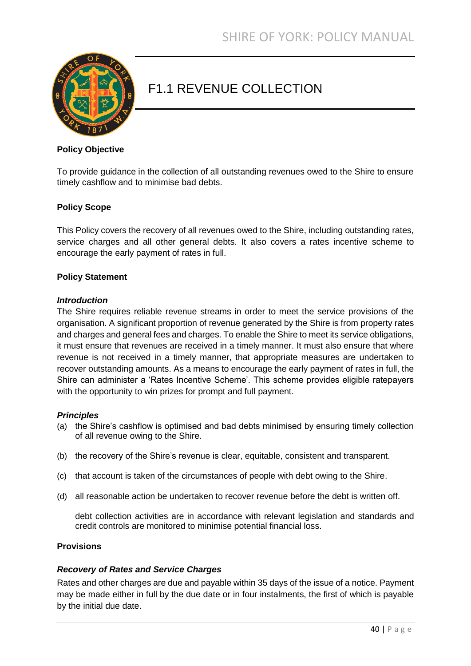

# F1.1 REVENUE COLLECTION

## **Policy Objective**

To provide guidance in the collection of all outstanding revenues owed to the Shire to ensure timely cashflow and to minimise bad debts.

## **Policy Scope**

This Policy covers the recovery of all revenues owed to the Shire, including outstanding rates, service charges and all other general debts. It also covers a rates incentive scheme to encourage the early payment of rates in full.

#### **Policy Statement**

#### *Introduction*

The Shire requires reliable revenue streams in order to meet the service provisions of the organisation. A significant proportion of revenue generated by the Shire is from property rates and charges and general fees and charges. To enable the Shire to meet its service obligations, it must ensure that revenues are received in a timely manner. It must also ensure that where revenue is not received in a timely manner, that appropriate measures are undertaken to recover outstanding amounts. As a means to encourage the early payment of rates in full, the Shire can administer a 'Rates Incentive Scheme'. This scheme provides eligible ratepayers with the opportunity to win prizes for prompt and full payment.

#### *Principles*

- (a) the Shire's cashflow is optimised and bad debts minimised by ensuring timely collection of all revenue owing to the Shire.
- (b) the recovery of the Shire's revenue is clear, equitable, consistent and transparent.
- (c) that account is taken of the circumstances of people with debt owing to the Shire.
- (d) all reasonable action be undertaken to recover revenue before the debt is written off.

debt collection activities are in accordance with relevant legislation and standards and credit controls are monitored to minimise potential financial loss.

#### **Provisions**

## *Recovery of Rates and Service Charges*

Rates and other charges are due and payable within 35 days of the issue of a notice. Payment may be made either in full by the due date or in four instalments, the first of which is payable by the initial due date.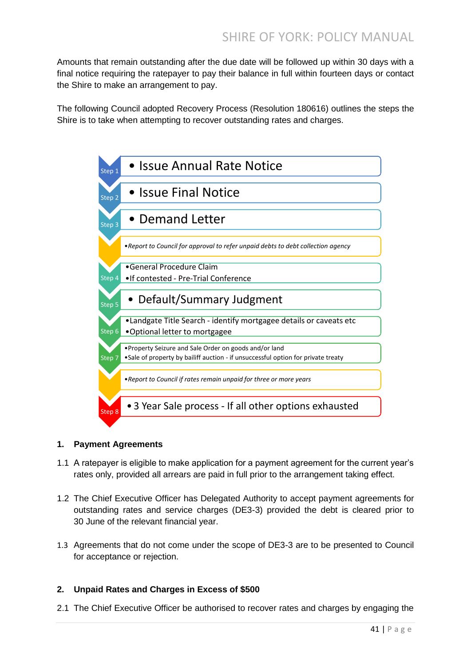Amounts that remain outstanding after the due date will be followed up within 30 days with a final notice requiring the ratepayer to pay their balance in full within fourteen days or contact the Shire to make an arrangement to pay.

The following Council adopted Recovery Process (Resolution 180616) outlines the steps the Shire is to take when attempting to recover outstanding rates and charges.



## **1. Payment Agreements**

- 1.1 A ratepayer is eligible to make application for a payment agreement for the current year's rates only, provided all arrears are paid in full prior to the arrangement taking effect.
- 1.2 The Chief Executive Officer has Delegated Authority to accept payment agreements for outstanding rates and service charges (DE3-3) provided the debt is cleared prior to 30 June of the relevant financial year.
- 1.3 Agreements that do not come under the scope of DE3-3 are to be presented to Council for acceptance or rejection.

## **2. Unpaid Rates and Charges in Excess of \$500**

2.1 The Chief Executive Officer be authorised to recover rates and charges by engaging the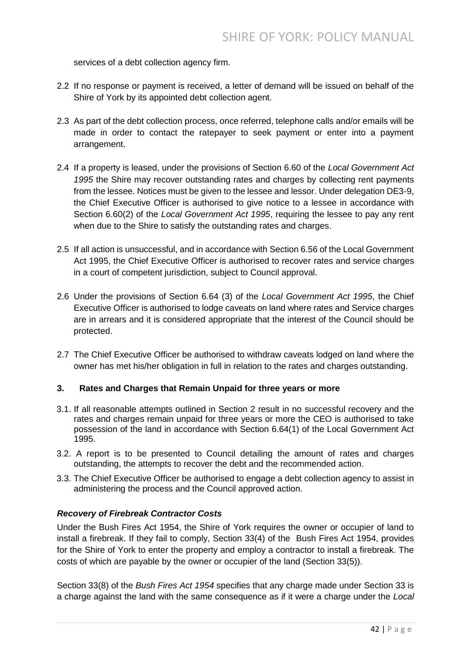services of a debt collection agency firm.

- 2.2 If no response or payment is received, a letter of demand will be issued on behalf of the Shire of York by its appointed debt collection agent.
- 2.3 As part of the debt collection process, once referred, telephone calls and/or emails will be made in order to contact the ratepayer to seek payment or enter into a payment arrangement.
- 2.4 If a property is leased, under the provisions of Section 6.60 of the *Local Government Act 1995* the Shire may recover outstanding rates and charges by collecting rent payments from the lessee. Notices must be given to the lessee and lessor. Under delegation DE3-9, the Chief Executive Officer is authorised to give notice to a lessee in accordance with Section 6.60(2) of the *Local Government Act 1995*, requiring the lessee to pay any rent when due to the Shire to satisfy the outstanding rates and charges.
- 2.5 If all action is unsuccessful, and in accordance with Section 6.56 of the Local Government Act 1995, the Chief Executive Officer is authorised to recover rates and service charges in a court of competent jurisdiction, subject to Council approval.
- 2.6 Under the provisions of Section 6.64 (3) of the *Local Government Act 1995*, the Chief Executive Officer is authorised to lodge caveats on land where rates and Service charges are in arrears and it is considered appropriate that the interest of the Council should be protected.
- 2.7 The Chief Executive Officer be authorised to withdraw caveats lodged on land where the owner has met his/her obligation in full in relation to the rates and charges outstanding.

## **3. Rates and Charges that Remain Unpaid for three years or more**

- 3.1. If all reasonable attempts outlined in Section 2 result in no successful recovery and the rates and charges remain unpaid for three years or more the CEO is authorised to take possession of the land in accordance with Section 6.64(1) of the Local Government Act 1995.
- 3.2. A report is to be presented to Council detailing the amount of rates and charges outstanding, the attempts to recover the debt and the recommended action.
- 3.3. The Chief Executive Officer be authorised to engage a debt collection agency to assist in administering the process and the Council approved action.

## *Recovery of Firebreak Contractor Costs*

Under the Bush Fires Act 1954, the Shire of York requires the owner or occupier of land to install a firebreak. If they fail to comply, Section 33(4) of the Bush Fires Act 1954, provides for the Shire of York to enter the property and employ a contractor to install a firebreak. The costs of which are payable by the owner or occupier of the land (Section 33(5)).

Section 33(8) of the *Bush Fires Act 1954* specifies that any charge made under Section 33 is a charge against the land with the same consequence as if it were a charge under the *Local*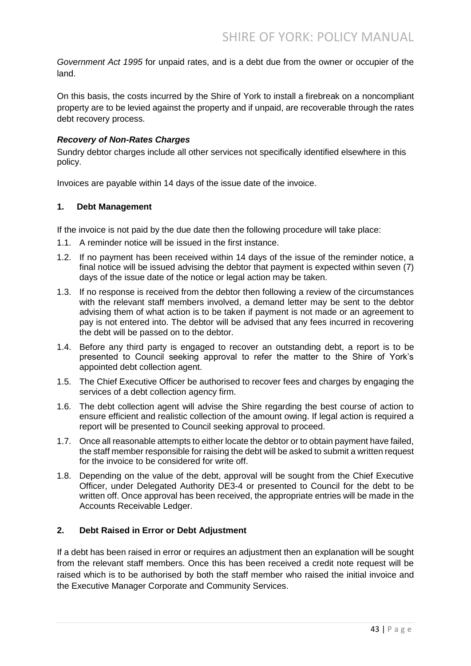*Government Act 1995* for unpaid rates, and is a debt due from the owner or occupier of the land.

On this basis, the costs incurred by the Shire of York to install a firebreak on a noncompliant property are to be levied against the property and if unpaid, are recoverable through the rates debt recovery process.

## *Recovery of Non-Rates Charges*

Sundry debtor charges include all other services not specifically identified elsewhere in this policy.

Invoices are payable within 14 days of the issue date of the invoice.

## **1. Debt Management**

If the invoice is not paid by the due date then the following procedure will take place:

- 1.1. A reminder notice will be issued in the first instance.
- 1.2. If no payment has been received within 14 days of the issue of the reminder notice, a final notice will be issued advising the debtor that payment is expected within seven (7) days of the issue date of the notice or legal action may be taken.
- 1.3. If no response is received from the debtor then following a review of the circumstances with the relevant staff members involved, a demand letter may be sent to the debtor advising them of what action is to be taken if payment is not made or an agreement to pay is not entered into. The debtor will be advised that any fees incurred in recovering the debt will be passed on to the debtor.
- 1.4. Before any third party is engaged to recover an outstanding debt, a report is to be presented to Council seeking approval to refer the matter to the Shire of York's appointed debt collection agent.
- 1.5. The Chief Executive Officer be authorised to recover fees and charges by engaging the services of a debt collection agency firm.
- 1.6. The debt collection agent will advise the Shire regarding the best course of action to ensure efficient and realistic collection of the amount owing. If legal action is required a report will be presented to Council seeking approval to proceed.
- 1.7. Once all reasonable attempts to either locate the debtor or to obtain payment have failed, the staff member responsible for raising the debt will be asked to submit a written request for the invoice to be considered for write off.
- 1.8. Depending on the value of the debt, approval will be sought from the Chief Executive Officer, under Delegated Authority DE3-4 or presented to Council for the debt to be written off. Once approval has been received, the appropriate entries will be made in the Accounts Receivable Ledger.

## **2. Debt Raised in Error or Debt Adjustment**

If a debt has been raised in error or requires an adjustment then an explanation will be sought from the relevant staff members. Once this has been received a credit note request will be raised which is to be authorised by both the staff member who raised the initial invoice and the Executive Manager Corporate and Community Services.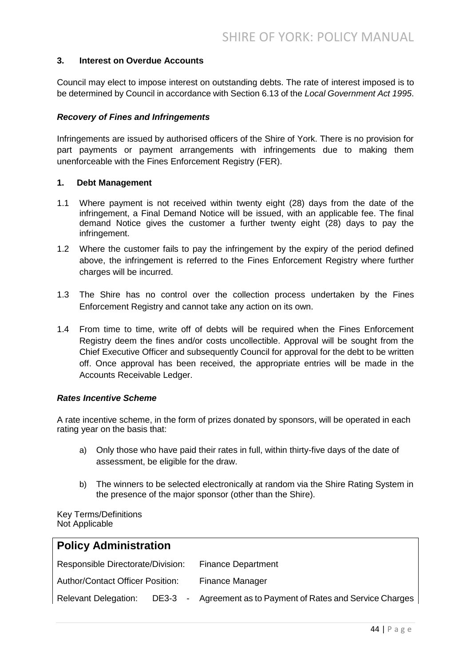## **3. Interest on Overdue Accounts**

Council may elect to impose interest on outstanding debts. The rate of interest imposed is to be determined by Council in accordance with Section 6.13 of the *Local Government Act 1995*.

#### *Recovery of Fines and Infringements*

Infringements are issued by authorised officers of the Shire of York. There is no provision for part payments or payment arrangements with infringements due to making them unenforceable with the Fines Enforcement Registry (FER).

#### **1. Debt Management**

- 1.1 Where payment is not received within twenty eight (28) days from the date of the infringement, a Final Demand Notice will be issued, with an applicable fee. The final demand Notice gives the customer a further twenty eight (28) days to pay the infringement.
- 1.2 Where the customer fails to pay the infringement by the expiry of the period defined above, the infringement is referred to the Fines Enforcement Registry where further charges will be incurred.
- 1.3 The Shire has no control over the collection process undertaken by the Fines Enforcement Registry and cannot take any action on its own.
- 1.4 From time to time, write off of debts will be required when the Fines Enforcement Registry deem the fines and/or costs uncollectible. Approval will be sought from the Chief Executive Officer and subsequently Council for approval for the debt to be written off. Once approval has been received, the appropriate entries will be made in the Accounts Receivable Ledger.

#### *Rates Incentive Scheme*

A rate incentive scheme, in the form of prizes donated by sponsors, will be operated in each rating year on the basis that:

- a) Only those who have paid their rates in full, within thirty-five days of the date of assessment, be eligible for the draw.
- b) The winners to be selected electronically at random via the Shire Rating System in the presence of the major sponsor (other than the Shire).

Key Terms/Definitions Not Applicable

| <b>Policy Administration</b>            |  |                                                                                   |  |
|-----------------------------------------|--|-----------------------------------------------------------------------------------|--|
| Responsible Directorate/Division:       |  | <b>Finance Department</b>                                                         |  |
| <b>Author/Contact Officer Position:</b> |  | Finance Manager                                                                   |  |
|                                         |  | Relevant Delegation: DE3-3 - Agreement as to Payment of Rates and Service Charges |  |